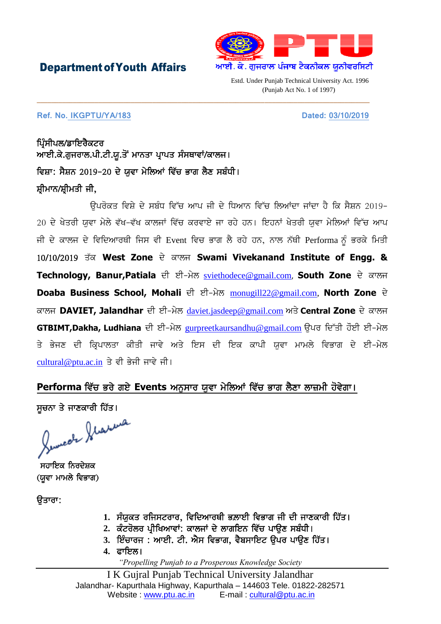## DepartmentofYouth Affairs



Estd. Under Punjab Technical University Act. 1996 (Punjab Act No. 1 of 1997)

## **Ref. No. IKGPTU/YA/183** Dated: 03/10/2019

ਪਿੰਸੀਪਲ/ਡਾਇਰੈਕਟਰ ਆਈ.ਕੇ.ਗੁਜਰਾਲ.ਪੀ.ਟੀ.ਯੁ.ਤੋਂ ਮਾਨਤਾ ਪ੍ਰਾਪਤ ਸੰਸਥਾਵਾਂ/ਕਾਲਜ। ਵਿਸ਼ਾ: ਸੈਸ਼ਨ 2019-20 ਦੇ ਯਵਾ ਮੇਲਿਆਂ ਵਿੱਚ ਭਾਗ ਲੈਣ ਸਬੰਧੀ। ਸ਼ੀਮਾਨ/ਸ਼ੀਮਤੀ ਜੀ,

<u>ਉਪਰੋਕਤ ਵਿਸ਼ੇ ਦੇ ਸਬੰਧ ਵਿੱਚ ਆਪ ਜੀ ਦੇ ਧਿਆਨ ਵਿੱਚ ਲਿਆਂਦਾ ਜਾਂਦਾ ਹੈ ਕਿ ਸੈਸ਼ਨ 2019-</u> 20 ਦੇ ਖੇਤਰੀ ਯਵਾ ਮੇਲੇ ਵੱਖ-ਵੱਖ ਕਾਲਜਾਂ ਵਿੱਚ ਕਰਵਾਏ ਜਾ ਰਹੇ ਹਨ। ਇਹਨਾਂ ਖੇਤਰੀ ਯਵਾ ਮੇਲਿਆਂ ਵਿੱਚ ਆਪ ਜੀ ਦੇ ਕਾਲਜ ਦੇ ਵਿਦਿਆਰਥੀ ਜਿਸ ਵੀ Event ਵਿਚ ਭਾਗ ਲੈ ਰਹੇ ਹਨ, ਨਾਲ ਨੱਥੀ Performa ਨੂੰ ਭਰਕੇ ਮਿਤੀ 10/10/2019 ਤੱਕ West Zone ਦੇ ਕਾਲਜ Swami Vivekanand Institute of Engg. & Technology, Banur, Patiala ਦੀ ਈ-ਮੇਲ [sviethodece@gmail.com](mailto:sviethodece@gmail.com), South Zone ਦੇ ਕਾਲਜ Doaba Business School, Mohali ਦੀ ਈ-ਮੇਲ [monugill22@gmail.com,](mailto:monugill22@gmail.com) North Zone ਦੇ ਕਾਲਜ DAVIET, Jalandhar ਦੀ ਈ-ਮੇਲ [daviet.jasdeep@gmail.com](mailto:daviet.jasdeep@gmail.com) ਅਤੇ Central Zone ਦੇ ਕਾਲਜ **GTBIMT,Dakha, Ludhiana** ਦੀ ਈ-ਮੇਲ [gurpreetkaursandhu@gmail.com](mailto:gurpreetkaursandhu@gmail.com) ਉਪਰ ਦਿੱਤੀ ਹੌਈ ਈ-ਮੇਲ ਤੇ ਭੇਜਣ ਦੀ ਕਿਪਾਲਤਾ ਕੀਤੀ ਜਾਵੇ ਅਤੇ ਇਸ ਦੀ ਇਕ ਕਾਪੀ ਯਵਾ ਮਾਮਲੇ ਵਿਭਾਗ ਦੇ ਈ-ਮੇਲ [cultural@ptu.ac.in](mailto:cultural@ptu.ac.in) ਤੇ ਵੀ ਭੇਜੀ ਜਾਵੇ ਜੀ।

\_\_\_\_\_\_\_\_\_\_\_\_\_\_\_\_\_\_\_\_\_\_\_\_\_\_\_\_\_\_\_\_\_\_\_\_\_\_\_\_\_\_\_\_\_\_\_\_\_\_\_\_\_\_\_\_\_\_\_\_\_\_\_\_\_\_\_\_\_\_\_\_\_\_\_\_\_\_\_\_\_\_\_\_\_\_\_\_\_\_\_\_

## **Performa** ਵਿੱਚ ਭਰੇ ਗਏ Events ਅਨੁਸਾਰ ਯੁਵਾ ਮੇਲਿਆਂ ਵਿੱਚ ਭਾਗ ਲੈਣਾ ਲਾਜ਼ਮੀ ਹੋਵੇਗਾ।

ਸੂਚਨਾ ਤੇ ਜਾਣਕਾਰੀ ਹਿੱਤ।

ਸਹਾਇਕ ਨਿਰਦੇਸ਼ਕ (ਯਵਾ ਮਾਮਲੇ ਵਿਭਾਗ)

ੳਤਾਰਾ:

- 1. ਸੰਯੁਕਤ ਰਜਿਸਟਰਾਰ, ਵਿਦਿਆਰਥੀ ਭਲ਼ਾਈ ਵਿਭਾਗ ਜੀ ਦੀ ਜਾਣਕਾਰੀ ਹਿੱਤ।
- 2. ਕੰਟਰੋਲਰ ਪੀਖਿਆਵਾਂ: ਕਾਲਜਾਂ ਦੇ ਲਾਗਇਨ ਵਿੱਚ ਪਾੳਣ ਸਬੰਧੀ।
- 3. ਇੰਚਾਰਜ : ਆਈ. ਟੀ. ਐਸ ਵਿਭਾਗ, ਵੈਬਸਾਇਟ ਉਪਰ ਪਾਉਣ ਹਿੱਤ।
- 4. ਫਾਇਲ।

*"Propelling Punjab to a Prosperous Knowledge Society*